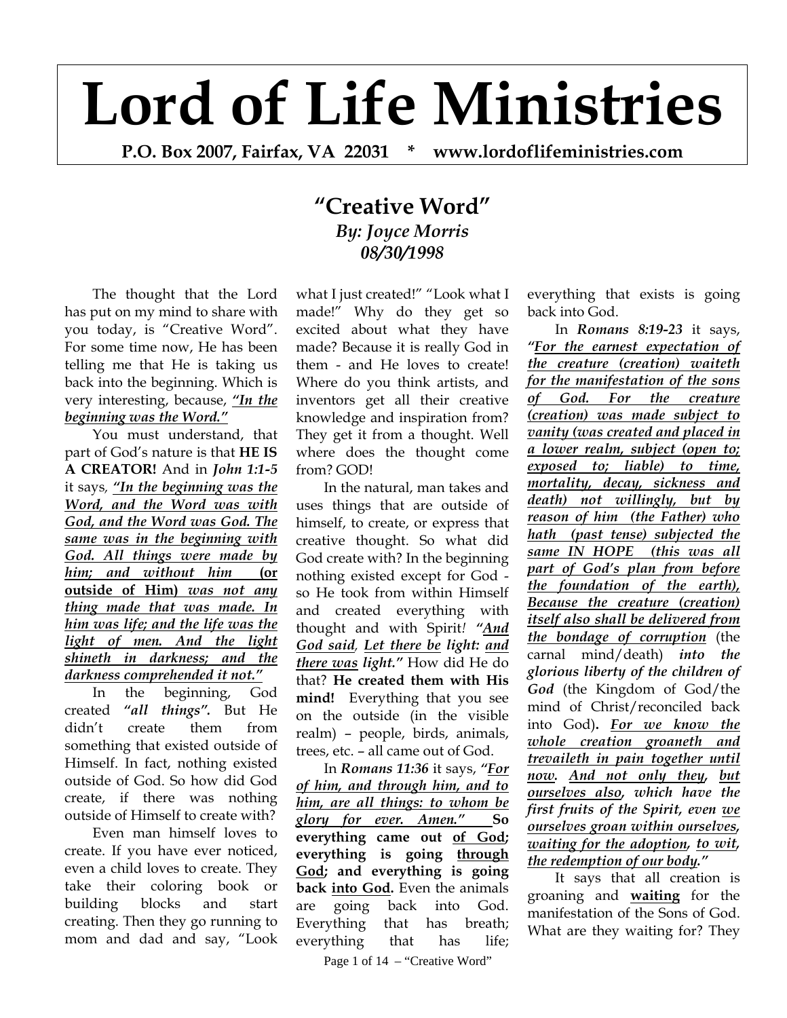## **Lord of Life Ministries**

**P.O. Box 2007, Fairfax, VA 22031 \* www.lordoflifeministries.com**

## **"Creative Word"** *By: Joyce Morris 08/30/1998*

The thought that the Lord has put on my mind to share with you today, is "Creative Word". For some time now, He has been telling me that He is taking us back into the beginning. Which is very interesting, because, *"In the beginning was the Word."*

You must understand, that part of God's nature is that **HE IS A CREATOR!** And in *John 1:1-5* it says*, "In the beginning was the Word, and the Word was with God, and the Word was God. The same was in the beginning with God. All things were made by him; and without him* **(or outside of Him)** *was not any thing made that was made. In him was life; and the life was the light of men. And the light shineth in darkness; and the darkness comprehended it not."*

In the beginning, God created *"all things".* But He didn't create them from something that existed outside of Himself. In fact, nothing existed outside of God. So how did God create, if there was nothing outside of Himself to create with?

Even man himself loves to create. If you have ever noticed, even a child loves to create. They take their coloring book or building blocks and start creating. Then they go running to mom and dad and say, "Look

what I just created!" "Look what I made!" Why do they get so excited about what they have made? Because it is really God in them - and He loves to create! Where do you think artists, and inventors get all their creative knowledge and inspiration from? They get it from a thought. Well where does the thought come from? GOD!

In the natural, man takes and uses things that are outside of himself, to create, or express that creative thought. So what did God create with? In the beginning nothing existed except for God so He took from within Himself and created everything with thought and with Spirit*! "And God said, Let there be light: and there was light."* How did He do that? **He created them with His mind!** Everything that you see on the outside (in the visible realm) – people, birds, animals, trees, etc. – all came out of God.

In *Romans 11:36* it says, *"For of him, and through him, and to him, are all things: to whom be glory for ever. Amen."* **So everything came out of God; everything is going through God; and everything is going back into God.** Even the animals are going back into God. Everything that has breath; everything that has life;

Page 1 of 14 – "Creative Word"

everything that exists is going back into God.

In *Romans 8:19-23* it says, *"For the earnest expectation of the creature (creation) waiteth for the manifestation of the sons of God. For the creature (creation) was made subject to vanity (was created and placed in a lower realm, subject (open to; exposed to; liable) to time, mortality, decay, sickness and death) not willingly, but by reason of him (the Father) who hath (past tense) subjected the same IN HOPE (this was all part of God's plan from before the foundation of the earth), Because the creature (creation) itself also shall be delivered from the bondage of corruption* (the carnal mind/death) *into the glorious liberty of the children of God* (the Kingdom of God/the mind of Christ/reconciled back into God)**.** *For we know the whole creation groaneth and trevaileth in pain together until now. And not only they, but ourselves also, which have the first fruits of the Spirit, even we ourselves groan within ourselves, waiting for the adoption, to wit, the redemption of our body."*

It says that all creation is groaning and **waiting** for the manifestation of the Sons of God. What are they waiting for? They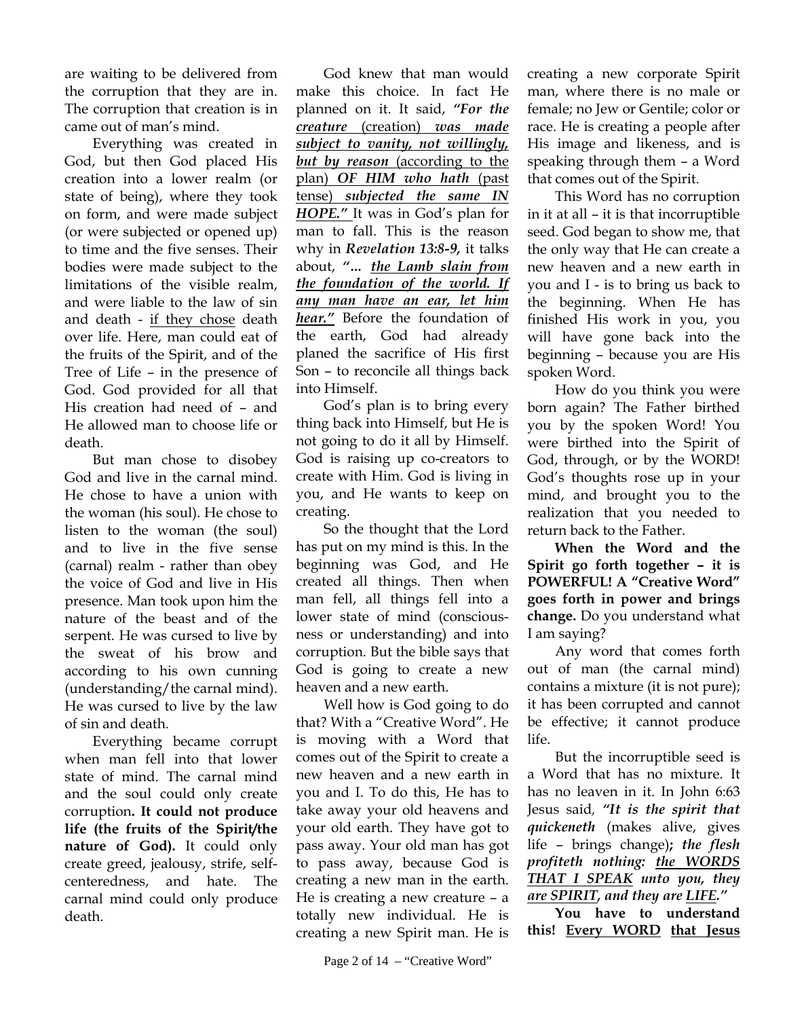are waiting to be delivered from the corruption that they are in. The corruption that creation is in came out of man's mind.

Everything was created in God, but then God placed His creation into a lower realm (or state of being), where they took on form, and were made subject (or were subjected or opened up) to time and the five senses. Their bodies were made subject to the limitations of the visible realm, and were liable to the law of sin and death - if they chose death over life. Here, man could eat of the fruits of the Spirit, and of the Tree of Life – in the presence of God. God provided for all that His creation had need of – and He allowed man to choose life or death.

But man chose to disobey God and live in the carnal mind. He chose to have a union with the woman (his soul). He chose to listen to the woman (the soul) and to live in the five sense (carnal) realm - rather than obey the voice of God and live in His presence. Man took upon him the nature of the beast and of the serpent. He was cursed to live by the sweat of his brow and according to his own cunning (understanding/the carnal mind). He was cursed to live by the law of sin and death.

Everything became corrupt when man fell into that lower state of mind. The carnal mind and the soul could only create corruption**. It could not produce life (the fruits of the Spirit/the nature of God).** It could only create greed, jealousy, strife, selfcenteredness, and hate. The carnal mind could only produce death.

God knew that man would make this choice. In fact He planned on it. It said, *"For the creature* (creation) *was made subject to vanity, not willingly, but by reason* (according to the plan) *OF HIM who hath* (past tense) *subjected the same IN HOPE."* It was in God's plan for man to fall. This is the reason why in *Revelation 13:8-9,* it talks about, *"… the Lamb slain from the foundation of the world. If any man have an ear, let him hear."* Before the foundation of the earth, God had already planed the sacrifice of His first Son – to reconcile all things back into Himself.

God's plan is to bring every thing back into Himself, but He is not going to do it all by Himself. God is raising up co-creators to create with Him. God is living in you, and He wants to keep on creating.

So the thought that the Lord has put on my mind is this. In the beginning was God, and He created all things. Then when man fell, all things fell into a lower state of mind (consciousness or understanding) and into corruption. But the bible says that God is going to create a new heaven and a new earth.

Well how is God going to do that? With a "Creative Word". He is moving with a Word that comes out of the Spirit to create a new heaven and a new earth in you and I. To do this, He has to take away your old heavens and your old earth. They have got to pass away. Your old man has got to pass away, because God is creating a new man in the earth. He is creating a new creature – a totally new individual. He is creating a new Spirit man. He is

creating a new corporate Spirit man, where there is no male or female; no Jew or Gentile; color or race. He is creating a people after His image and likeness, and is speaking through them – a Word that comes out of the Spirit.

This Word has no corruption in it at all – it is that incorruptible seed. God began to show me, that the only way that He can create a new heaven and a new earth in you and I - is to bring us back to the beginning. When He has finished His work in you, you will have gone back into the beginning – because you are His spoken Word.

How do you think you were born again? The Father birthed you by the spoken Word! You were birthed into the Spirit of God, through, or by the WORD! God's thoughts rose up in your mind, and brought you to the realization that you needed to return back to the Father.

**When the Word and the Spirit go forth together – it is POWERFUL! A "Creative Word" goes forth in power and brings change.** Do you understand what I am saying?

Any word that comes forth out of man (the carnal mind) contains a mixture (it is not pure); it has been corrupted and cannot be effective; it cannot produce life.

But the incorruptible seed is a Word that has no mixture. It has no leaven in it. In John 6:63 Jesus said*, "It is the spirit that quickeneth* (makes alive, gives life – brings change)**;** *the flesh profiteth nothing: the WORDS THAT I SPEAK unto you, they are SPIRIT, and they are LIFE."*

**You have to understand this! Every WORD that Jesus**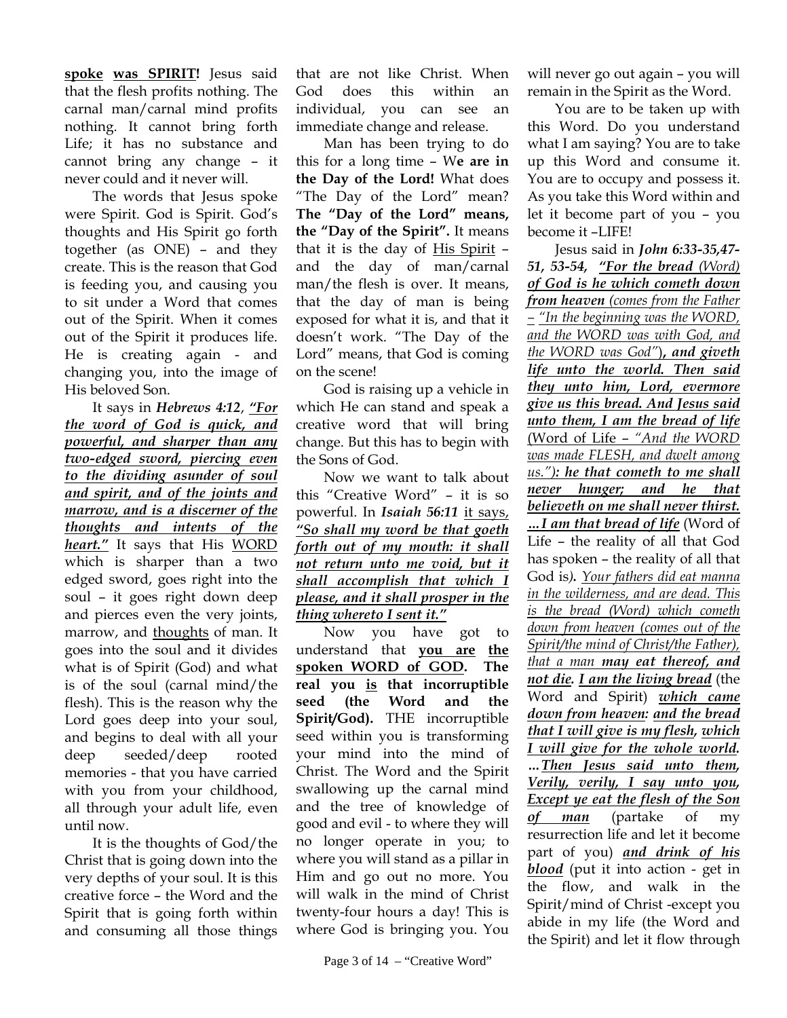**spoke was SPIRIT!** Jesus said that the flesh profits nothing. The carnal man/carnal mind profits nothing. It cannot bring forth Life; it has no substance and cannot bring any change – it never could and it never will.

The words that Jesus spoke were Spirit. God is Spirit. God's thoughts and His Spirit go forth together (as ONE) – and they create. This is the reason that God is feeding you, and causing you to sit under a Word that comes out of the Spirit. When it comes out of the Spirit it produces life. He is creating again - and changing you, into the image of His beloved Son.

It says in *Hebrews 4:12*, *"For the word of God is quick, and powerful, and sharper than any two-edged sword, piercing even to the dividing asunder of soul and spirit, and of the joints and marrow, and is a discerner of the thoughts and intents of the heart."* It says that His WORD which is sharper than a two edged sword, goes right into the soul – it goes right down deep and pierces even the very joints, marrow, and thoughts of man. It goes into the soul and it divides what is of Spirit (God) and what is of the soul (carnal mind/the flesh). This is the reason why the Lord goes deep into your soul, and begins to deal with all your deep seeded/deep rooted memories - that you have carried with you from your childhood, all through your adult life, even until now.

It is the thoughts of God/the Christ that is going down into the very depths of your soul. It is this creative force – the Word and the Spirit that is going forth within and consuming all those things

that are not like Christ. When God does this within an individual, you can see an immediate change and release.

Man has been trying to do this for a long time – W**e are in the Day of the Lord!** What does "The Day of the Lord" mean? **The "Day of the Lord" means, the "Day of the Spirit".** It means that it is the day of His Spirit – and the day of man/carnal man/the flesh is over. It means, that the day of man is being exposed for what it is, and that it doesn't work. "The Day of the Lord" means, that God is coming on the scene!

God is raising up a vehicle in which He can stand and speak a creative word that will bring change. But this has to begin with the Sons of God.

Now we want to talk about this "Creative Word" – it is so powerful. In *Isaiah 56:11* it says, *"So shall my word be that goeth forth out of my mouth: it shall not return unto me void, but it shall accomplish that which I please, and it shall prosper in the thing whereto I sent it."*

Now you have got to understand that **you are the spoken WORD of GOD. The real you is that incorruptible seed (the Word and the Spirit/God).** THE incorruptible seed within you is transforming your mind into the mind of Christ. The Word and the Spirit swallowing up the carnal mind and the tree of knowledge of good and evil - to where they will no longer operate in you; to where you will stand as a pillar in Him and go out no more. You will walk in the mind of Christ twenty-four hours a day! This is where God is bringing you. You

will never go out again – you will remain in the Spirit as the Word.

You are to be taken up with this Word. Do you understand what I am saying? You are to take up this Word and consume it. You are to occupy and possess it. As you take this Word within and let it become part of you – you become it –LIFE!

Jesus said in *John 6:33-35,47- 51, 53-54, "For the bread (Word) of God is he which cometh down from heaven (comes from the Father – "In the beginning was the WORD, and the WORD was with God, and the WORD was God"*)**,** *and giveth life unto the world. Then said they unto him, Lord, evermore give us this bread. And Jesus said unto them, I am the bread of life* (Word of Life – *"And the WORD was made FLESH, and dwelt among us."): he that cometh to me shall never hunger; and he that believeth on me shall never thirst. …I am that bread of life* (Word of Life – the reality of all that God has spoken – the reality of all that God is*). Your fathers did eat manna in the wilderness, and are dead. This is the bread (Word) which cometh down from heaven (comes out of the Spirit/the mind of Christ/the Father), that a man may eat thereof, and not die. I am the living bread* (the Word and Spirit) *which came down from heaven: and the bread that I will give is my flesh, which I will give for the whole world. …Then Jesus said unto them, Verily, verily, I say unto you, Except ye eat the flesh of the Son of man* (partake of my resurrection life and let it become part of you) *and drink of his blood* (put it into action - get in the flow, and walk in the Spirit/mind of Christ -except you abide in my life (the Word and the Spirit) and let it flow through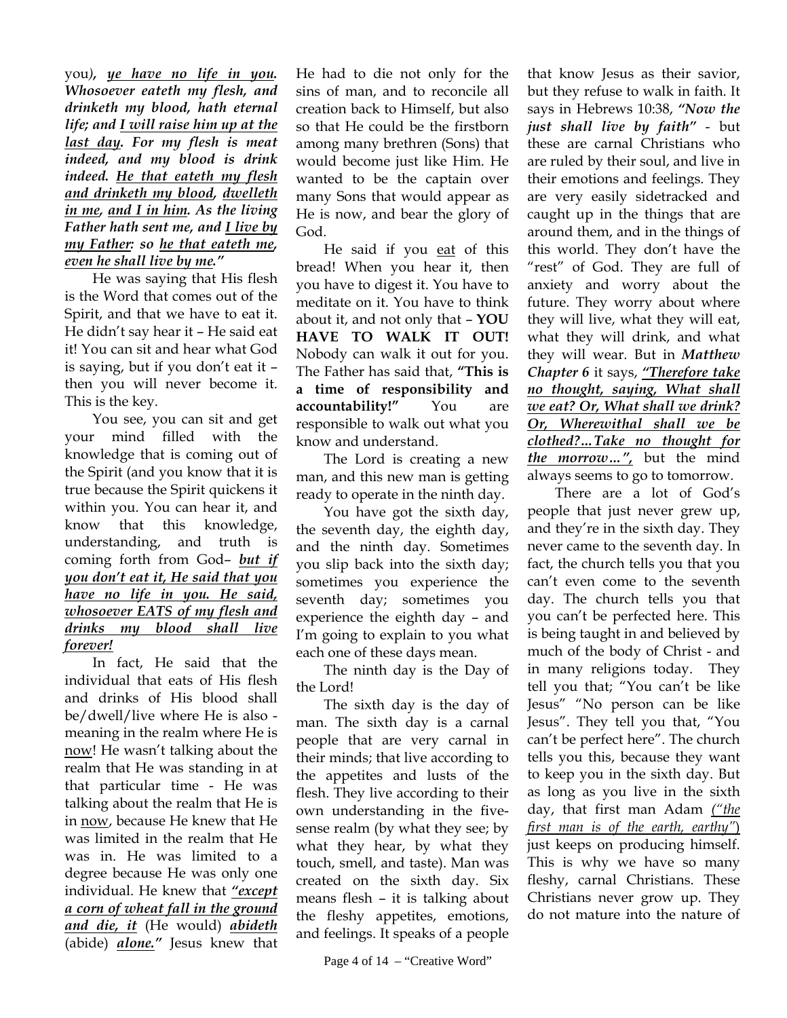you*), ye have no life in you. Whosoever eateth my flesh, and drinketh my blood, hath eternal life; and I will raise him up at the last day. For my flesh is meat indeed, and my blood is drink indeed. He that eateth my flesh and drinketh my blood, dwelleth in me, and I in him. As the living Father hath sent me, and I live by my Father: so he that eateth me, even he shall live by me."*

He was saying that His flesh is the Word that comes out of the Spirit, and that we have to eat it. He didn't say hear it – He said eat it! You can sit and hear what God is saying, but if you don't eat it – then you will never become it. This is the key.

You see, you can sit and get your mind filled with the knowledge that is coming out of the Spirit (and you know that it is true because the Spirit quickens it within you. You can hear it, and know that this knowledge, understanding, and truth is coming forth from God– *but if you don't eat it, He said that you have no life in you. He said, whosoever EATS of my flesh and drinks my blood shall live forever!*

In fact, He said that the individual that eats of His flesh and drinks of His blood shall be/dwell/live where He is also meaning in the realm where He is now! He wasn't talking about the realm that He was standing in at that particular time - He was talking about the realm that He is in now, because He knew that He was limited in the realm that He was in. He was limited to a degree because He was only one individual. He knew that *"except a corn of wheat fall in the ground and die, it* (He would) *abideth*  (abide) *alone."* Jesus knew that

He had to die not only for the sins of man, and to reconcile all creation back to Himself, but also so that He could be the firstborn among many brethren (Sons) that would become just like Him. He wanted to be the captain over many Sons that would appear as He is now, and bear the glory of God.

He said if you eat of this bread! When you hear it, then you have to digest it. You have to meditate on it. You have to think about it, and not only that – **YOU HAVE TO WALK IT OUT!** Nobody can walk it out for you. The Father has said that, **"This is a time of responsibility and accountability!"** You are responsible to walk out what you know and understand.

The Lord is creating a new man, and this new man is getting ready to operate in the ninth day.

You have got the sixth day, the seventh day, the eighth day, and the ninth day. Sometimes you slip back into the sixth day; sometimes you experience the seventh day; sometimes you experience the eighth day – and I'm going to explain to you what each one of these days mean.

The ninth day is the Day of the Lord!

The sixth day is the day of man. The sixth day is a carnal people that are very carnal in their minds; that live according to the appetites and lusts of the flesh. They live according to their own understanding in the fivesense realm (by what they see; by what they hear, by what they touch, smell, and taste). Man was created on the sixth day. Six means flesh – it is talking about the fleshy appetites, emotions, and feelings. It speaks of a people

that know Jesus as their savior, but they refuse to walk in faith. It says in Hebrews 10:38, *"Now the just shall live by faith"* - but these are carnal Christians who are ruled by their soul, and live in their emotions and feelings. They are very easily sidetracked and caught up in the things that are around them, and in the things of this world. They don't have the "rest" of God. They are full of anxiety and worry about the future. They worry about where they will live, what they will eat, what they will drink, and what they will wear. But in *Matthew Chapter 6* it says, *"Therefore take no thought, saying, What shall we eat? Or, What shall we drink? Or, Wherewithal shall we be clothed?…Take no thought for the morrow…",* but the mind always seems to go to tomorrow.

There are a lot of God's people that just never grew up, and they're in the sixth day. They never came to the seventh day. In fact, the church tells you that you can't even come to the seventh day. The church tells you that you can't be perfected here. This is being taught in and believed by much of the body of Christ - and in many religions today. They tell you that; "You can't be like Jesus" "No person can be like Jesus". They tell you that, "You can't be perfect here". The church tells you this, because they want to keep you in the sixth day. But as long as you live in the sixth day, that first man Adam *("the first man is of the earth, earthy"*) just keeps on producing himself. This is why we have so many fleshy, carnal Christians. These Christians never grow up. They do not mature into the nature of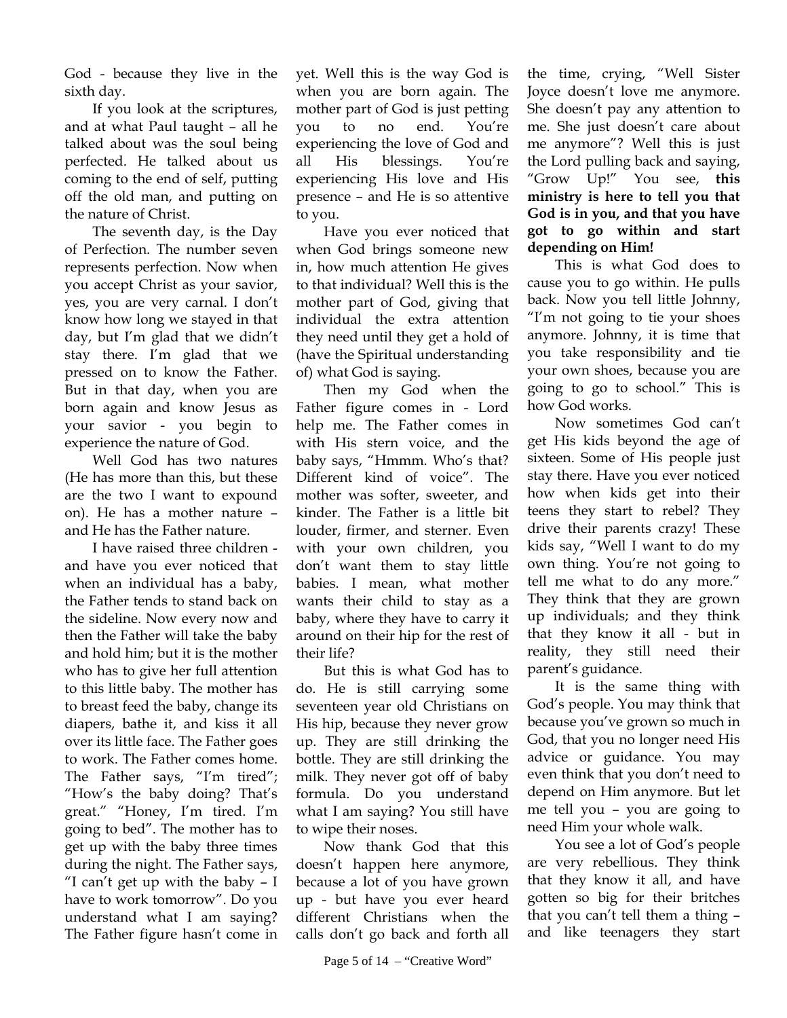God - because they live in the sixth day.

If you look at the scriptures, and at what Paul taught – all he talked about was the soul being perfected. He talked about us coming to the end of self, putting off the old man, and putting on the nature of Christ.

The seventh day, is the Day of Perfection. The number seven represents perfection. Now when you accept Christ as your savior, yes, you are very carnal. I don't know how long we stayed in that day, but I'm glad that we didn't stay there. I'm glad that we pressed on to know the Father. But in that day, when you are born again and know Jesus as your savior - you begin to experience the nature of God.

Well God has two natures (He has more than this, but these are the two I want to expound on). He has a mother nature – and He has the Father nature.

I have raised three children and have you ever noticed that when an individual has a baby, the Father tends to stand back on the sideline. Now every now and then the Father will take the baby and hold him; but it is the mother who has to give her full attention to this little baby. The mother has to breast feed the baby, change its diapers, bathe it, and kiss it all over its little face. The Father goes to work. The Father comes home. The Father says, "I'm tired"; "How's the baby doing? That's great." "Honey, I'm tired. I'm going to bed". The mother has to get up with the baby three times during the night. The Father says, "I can't get up with the baby  $-$  I have to work tomorrow". Do you understand what I am saying? The Father figure hasn't come in

yet. Well this is the way God is when you are born again. The mother part of God is just petting you to no end. You're experiencing the love of God and all His blessings. You're experiencing His love and His presence – and He is so attentive to you.

Have you ever noticed that when God brings someone new in, how much attention He gives to that individual? Well this is the mother part of God, giving that individual the extra attention they need until they get a hold of (have the Spiritual understanding of) what God is saying.

Then my God when the Father figure comes in - Lord help me. The Father comes in with His stern voice, and the baby says, "Hmmm. Who's that? Different kind of voice". The mother was softer, sweeter, and kinder. The Father is a little bit louder, firmer, and sterner. Even with your own children, you don't want them to stay little babies. I mean, what mother wants their child to stay as a baby, where they have to carry it around on their hip for the rest of their life?

But this is what God has to do. He is still carrying some seventeen year old Christians on His hip, because they never grow up. They are still drinking the bottle. They are still drinking the milk. They never got off of baby formula. Do you understand what I am saying? You still have to wipe their noses.

Now thank God that this doesn't happen here anymore, because a lot of you have grown up - but have you ever heard different Christians when the calls don't go back and forth all

the time, crying, "Well Sister Joyce doesn't love me anymore. She doesn't pay any attention to me. She just doesn't care about me anymore"? Well this is just the Lord pulling back and saying, "Grow Up!" You see, **this ministry is here to tell you that God is in you, and that you have got to go within and start depending on Him!** 

This is what God does to cause you to go within. He pulls back. Now you tell little Johnny, "I'm not going to tie your shoes anymore. Johnny, it is time that you take responsibility and tie your own shoes, because you are going to go to school." This is how God works.

Now sometimes God can't get His kids beyond the age of sixteen. Some of His people just stay there. Have you ever noticed how when kids get into their teens they start to rebel? They drive their parents crazy! These kids say, "Well I want to do my own thing. You're not going to tell me what to do any more." They think that they are grown up individuals; and they think that they know it all - but in reality, they still need their parent's guidance.

It is the same thing with God's people. You may think that because you've grown so much in God, that you no longer need His advice or guidance. You may even think that you don't need to depend on Him anymore. But let me tell you – you are going to need Him your whole walk.

You see a lot of God's people are very rebellious. They think that they know it all, and have gotten so big for their britches that you can't tell them a thing – and like teenagers they start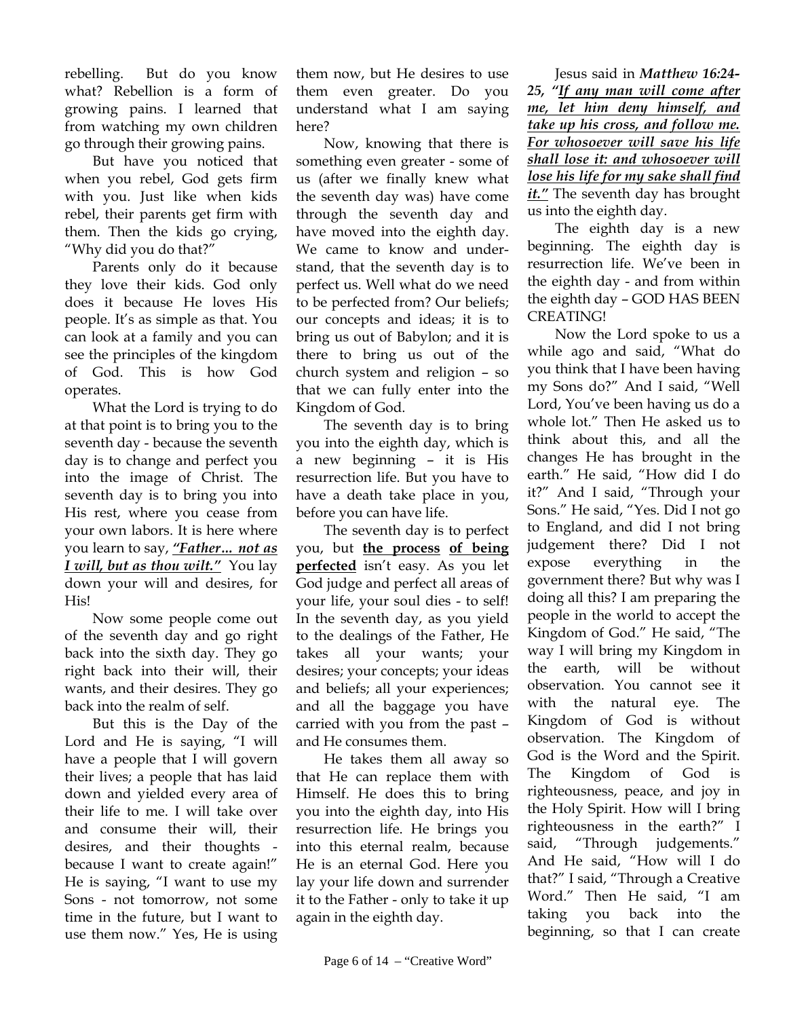rebelling. But do you know what? Rebellion is a form of growing pains. I learned that from watching my own children go through their growing pains.

But have you noticed that when you rebel, God gets firm with you. Just like when kids rebel, their parents get firm with them. Then the kids go crying, "Why did you do that?"

Parents only do it because they love their kids. God only does it because He loves His people. It's as simple as that. You can look at a family and you can see the principles of the kingdom of God. This is how God operates.

What the Lord is trying to do at that point is to bring you to the seventh day - because the seventh day is to change and perfect you into the image of Christ. The seventh day is to bring you into His rest, where you cease from your own labors. It is here where you learn to say, *"Father… not as I will, but as thou wilt."* You lay down your will and desires, for His!

Now some people come out of the seventh day and go right back into the sixth day. They go right back into their will, their wants, and their desires. They go back into the realm of self.

But this is the Day of the Lord and He is saying, "I will have a people that I will govern their lives; a people that has laid down and yielded every area of their life to me. I will take over and consume their will, their desires, and their thoughts because I want to create again!" He is saying, "I want to use my Sons - not tomorrow, not some time in the future, but I want to use them now." Yes, He is using

them now, but He desires to use them even greater. Do you understand what I am saying here?

Now, knowing that there is something even greater - some of us (after we finally knew what the seventh day was) have come through the seventh day and have moved into the eighth day. We came to know and understand, that the seventh day is to perfect us. Well what do we need to be perfected from? Our beliefs; our concepts and ideas; it is to bring us out of Babylon; and it is there to bring us out of the church system and religion – so that we can fully enter into the Kingdom of God.

The seventh day is to bring you into the eighth day, which is a new beginning – it is His resurrection life. But you have to have a death take place in you, before you can have life.

The seventh day is to perfect you, but **the process of being perfected** isn't easy. As you let God judge and perfect all areas of your life, your soul dies - to self! In the seventh day, as you yield to the dealings of the Father, He takes all your wants; your desires; your concepts; your ideas and beliefs; all your experiences; and all the baggage you have carried with you from the past – and He consumes them.

He takes them all away so that He can replace them with Himself. He does this to bring you into the eighth day, into His resurrection life. He brings you into this eternal realm, because He is an eternal God. Here you lay your life down and surrender it to the Father - only to take it up again in the eighth day.

Jesus said in *Matthew 16:24- 25, "If any man will come after me, let him deny himself, and take up his cross, and follow me. For whosoever will save his life shall lose it: and whosoever will lose his life for my sake shall find it."* The seventh day has brought us into the eighth day.

The eighth day is a new beginning. The eighth day is resurrection life. We've been in the eighth day - and from within the eighth day – GOD HAS BEEN CREATING!

Now the Lord spoke to us a while ago and said, "What do you think that I have been having my Sons do?" And I said, "Well Lord, You've been having us do a whole lot." Then He asked us to think about this, and all the changes He has brought in the earth." He said, "How did I do it?" And I said, "Through your Sons." He said, "Yes. Did I not go to England, and did I not bring judgement there? Did I not expose everything in the government there? But why was I doing all this? I am preparing the people in the world to accept the Kingdom of God." He said, "The way I will bring my Kingdom in the earth, will be without observation. You cannot see it with the natural eye. The Kingdom of God is without observation. The Kingdom of God is the Word and the Spirit. The Kingdom of God is righteousness, peace, and joy in the Holy Spirit. How will I bring righteousness in the earth?" I said, "Through judgements." And He said, "How will I do that?" I said, "Through a Creative Word." Then He said, "I am taking you back into the beginning, so that I can create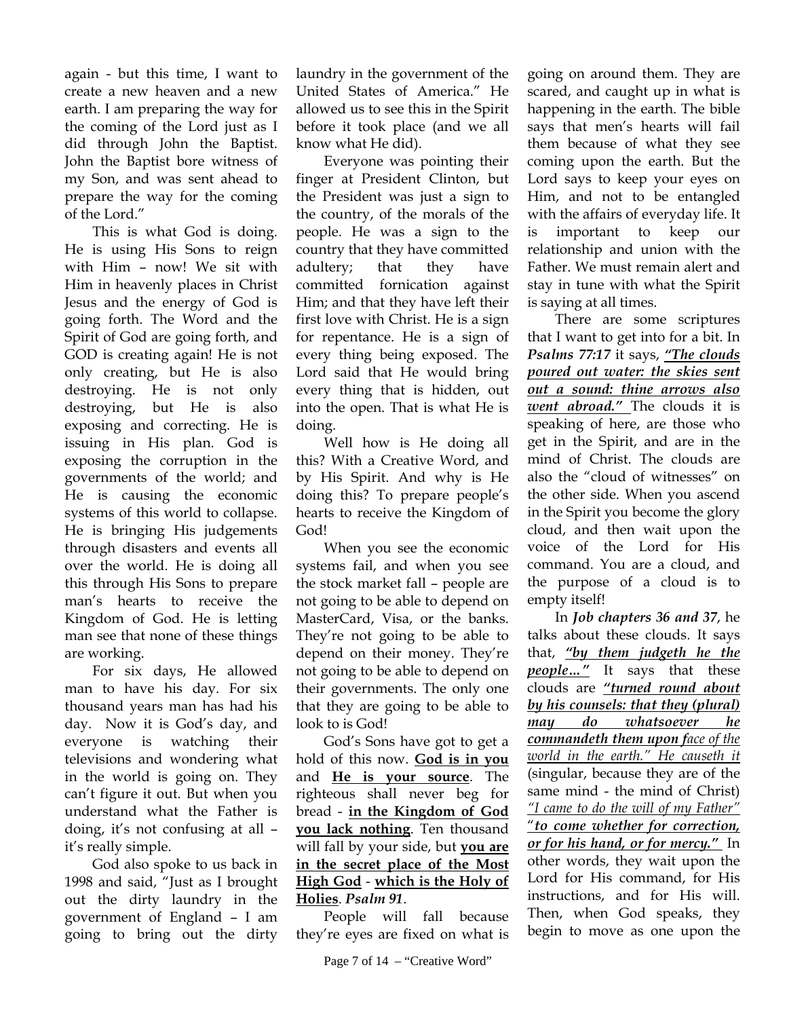again - but this time, I want to create a new heaven and a new earth. I am preparing the way for the coming of the Lord just as I did through John the Baptist. John the Baptist bore witness of my Son, and was sent ahead to prepare the way for the coming of the Lord."

This is what God is doing. He is using His Sons to reign with Him – now! We sit with Him in heavenly places in Christ Jesus and the energy of God is going forth. The Word and the Spirit of God are going forth, and GOD is creating again! He is not only creating, but He is also destroying. He is not only destroying, but He is also exposing and correcting. He is issuing in His plan. God is exposing the corruption in the governments of the world; and He is causing the economic systems of this world to collapse. He is bringing His judgements through disasters and events all over the world. He is doing all this through His Sons to prepare man's hearts to receive the Kingdom of God. He is letting man see that none of these things are working.

For six days, He allowed man to have his day. For six thousand years man has had his day. Now it is God's day, and everyone is watching their televisions and wondering what in the world is going on. They can't figure it out. But when you understand what the Father is doing, it's not confusing at all – it's really simple.

God also spoke to us back in 1998 and said, "Just as I brought out the dirty laundry in the government of England – I am going to bring out the dirty

laundry in the government of the United States of America." He allowed us to see this in the Spirit before it took place (and we all know what He did).

Everyone was pointing their finger at President Clinton, but the President was just a sign to the country, of the morals of the people. He was a sign to the country that they have committed adultery; that they have committed fornication against Him; and that they have left their first love with Christ. He is a sign for repentance. He is a sign of every thing being exposed. The Lord said that He would bring every thing that is hidden, out into the open. That is what He is doing.

Well how is He doing all this? With a Creative Word, and by His Spirit. And why is He doing this? To prepare people's hearts to receive the Kingdom of God!

When you see the economic systems fail, and when you see the stock market fall – people are not going to be able to depend on MasterCard, Visa, or the banks. They're not going to be able to depend on their money. They're not going to be able to depend on their governments. The only one that they are going to be able to look to is God!

God's Sons have got to get a hold of this now. **God is in you** and **He is your source**. The righteous shall never beg for bread - **in the Kingdom of God you lack nothing**. Ten thousand will fall by your side, but **you are in the secret place of the Most High God** - **which is the Holy of Holies**. *Psalm 91*.

People will fall because they're eyes are fixed on what is

going on around them. They are scared, and caught up in what is happening in the earth. The bible says that men's hearts will fail them because of what they see coming upon the earth. But the Lord says to keep your eyes on Him, and not to be entangled with the affairs of everyday life. It is important to keep our relationship and union with the Father. We must remain alert and stay in tune with what the Spirit is saying at all times.

There are some scriptures that I want to get into for a bit. In *Psalms 77:17* it says, *"The clouds poured out water: the skies sent out a sound: thine arrows also went abroad."* The clouds it is speaking of here, are those who get in the Spirit, and are in the mind of Christ. The clouds are also the "cloud of witnesses" on the other side. When you ascend in the Spirit you become the glory cloud, and then wait upon the voice of the Lord for His command. You are a cloud, and the purpose of a cloud is to empty itself!

In *Job chapters 36 and 37*, he talks about these clouds. It says that, *"by them judgeth he the people…"* It says that these clouds are *"turned round about by his counsels: that they (plural) may do whatsoever he commandeth them upon face of the world in the earth." He causeth it* (singular, because they are of the same mind - the mind of Christ) *"I came to do the will of my Father"* "*to come whether for correction, or for his hand, or for mercy."* In other words, they wait upon the Lord for His command, for His instructions, and for His will. Then, when God speaks, they begin to move as one upon the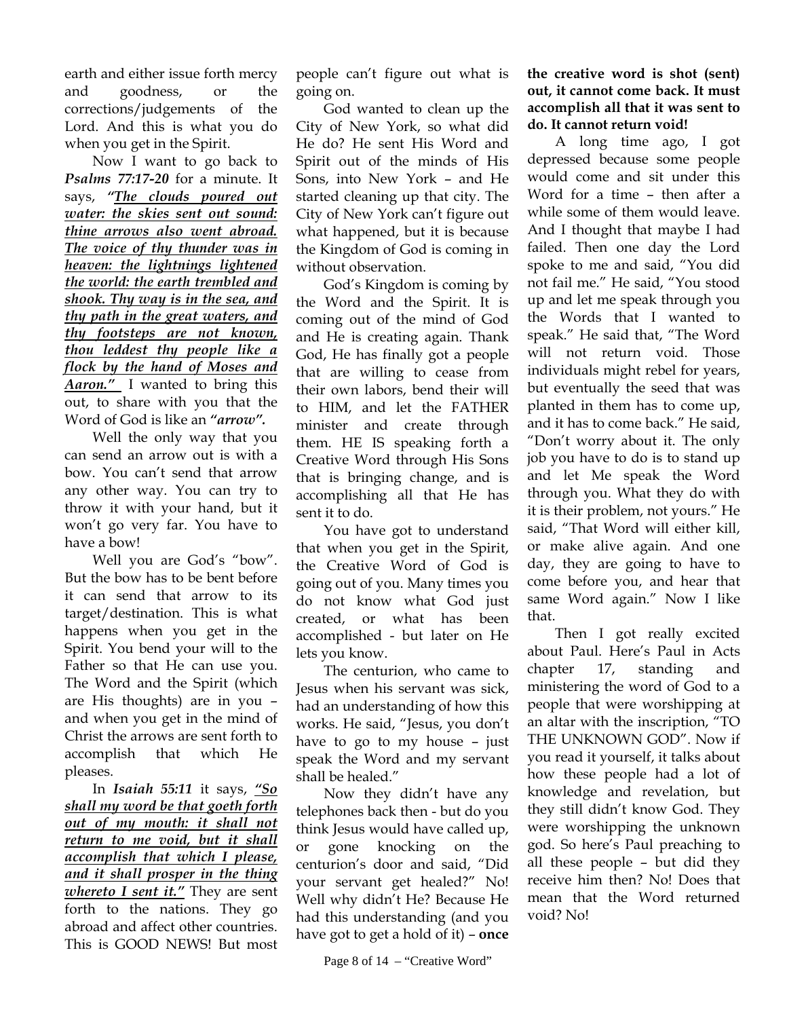earth and either issue forth mercy and goodness, or the corrections/judgements of the Lord. And this is what you do when you get in the Spirit.

Now I want to go back to *Psalms 77:17-20* for a minute. It says, *"The clouds poured out water: the skies sent out sound: thine arrows also went abroad. The voice of thy thunder was in heaven: the lightnings lightened the world: the earth trembled and shook. Thy way is in the sea, and thy path in the great waters, and thy footsteps are not known, thou leddest thy people like a flock by the hand of Moses and Aaron."* I wanted to bring this out, to share with you that the Word of God is like an *"arrow".*

Well the only way that you can send an arrow out is with a bow. You can't send that arrow any other way. You can try to throw it with your hand, but it won't go very far. You have to have a bow!

Well you are God's "bow". But the bow has to be bent before it can send that arrow to its target/destination. This is what happens when you get in the Spirit. You bend your will to the Father so that He can use you. The Word and the Spirit (which are His thoughts) are in you – and when you get in the mind of Christ the arrows are sent forth to accomplish that which He pleases.

In *Isaiah 55:11* it says, *"So shall my word be that goeth forth out of my mouth: it shall not return to me void, but it shall accomplish that which I please, and it shall prosper in the thing whereto I sent it."* They are sent forth to the nations. They go abroad and affect other countries. This is GOOD NEWS! But most

people can't figure out what is going on.

God wanted to clean up the City of New York, so what did He do? He sent His Word and Spirit out of the minds of His Sons, into New York – and He started cleaning up that city. The City of New York can't figure out what happened, but it is because the Kingdom of God is coming in without observation.

God's Kingdom is coming by the Word and the Spirit. It is coming out of the mind of God and He is creating again. Thank God, He has finally got a people that are willing to cease from their own labors, bend their will to HIM, and let the FATHER minister and create through them. HE IS speaking forth a Creative Word through His Sons that is bringing change, and is accomplishing all that He has sent it to do.

You have got to understand that when you get in the Spirit, the Creative Word of God is going out of you. Many times you do not know what God just created, or what has been accomplished - but later on He lets you know.

The centurion, who came to Jesus when his servant was sick, had an understanding of how this works. He said, "Jesus, you don't have to go to my house – just speak the Word and my servant shall be healed."

Now they didn't have any telephones back then - but do you think Jesus would have called up, or gone knocking on the centurion's door and said, "Did your servant get healed?" No! Well why didn't He? Because He had this understanding (and you have got to get a hold of it) – **once**  **the creative word is shot (sent) out, it cannot come back. It must accomplish all that it was sent to do. It cannot return void!**

A long time ago, I got depressed because some people would come and sit under this Word for a time – then after a while some of them would leave. And I thought that maybe I had failed. Then one day the Lord spoke to me and said, "You did not fail me." He said, "You stood up and let me speak through you the Words that I wanted to speak." He said that, "The Word will not return void. Those individuals might rebel for years, but eventually the seed that was planted in them has to come up, and it has to come back." He said, "Don't worry about it. The only job you have to do is to stand up and let Me speak the Word through you. What they do with it is their problem, not yours." He said, "That Word will either kill, or make alive again. And one day, they are going to have to come before you, and hear that same Word again." Now I like that.

Then I got really excited about Paul. Here's Paul in Acts chapter 17, standing and ministering the word of God to a people that were worshipping at an altar with the inscription, "TO THE UNKNOWN GOD". Now if you read it yourself, it talks about how these people had a lot of knowledge and revelation, but they still didn't know God. They were worshipping the unknown god. So here's Paul preaching to all these people – but did they receive him then? No! Does that mean that the Word returned void? No!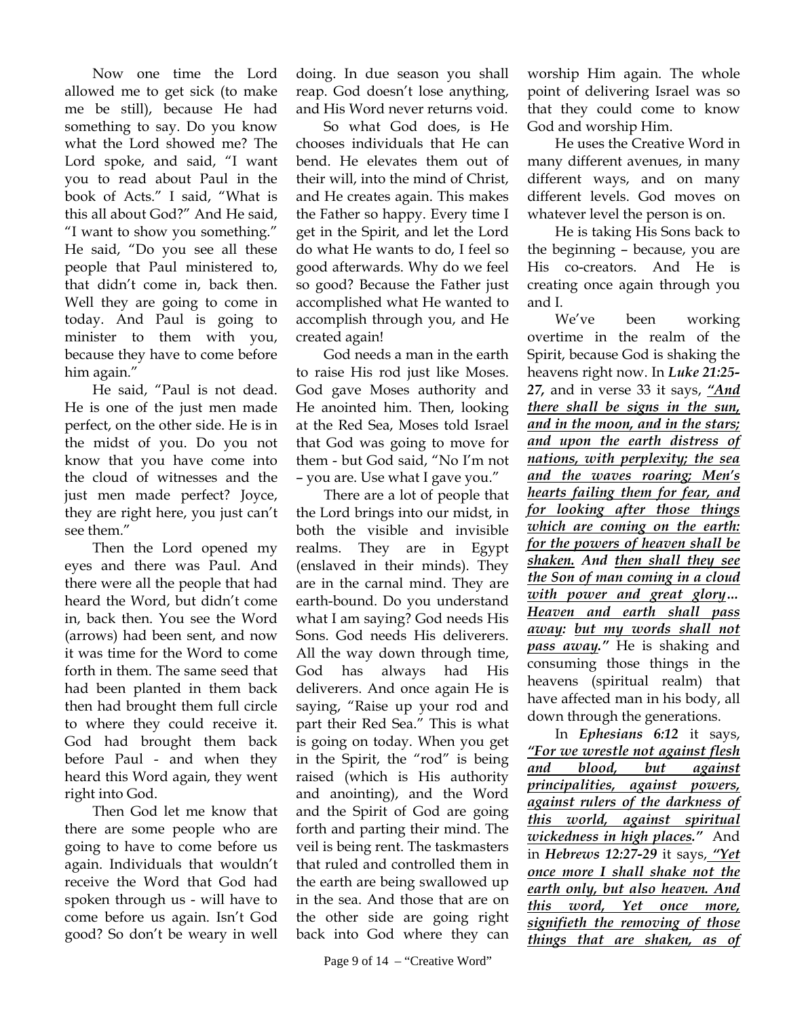Now one time the Lord allowed me to get sick (to make me be still), because He had something to say. Do you know what the Lord showed me? The Lord spoke, and said, "I want you to read about Paul in the book of Acts." I said, "What is this all about God?" And He said, "I want to show you something." He said, "Do you see all these people that Paul ministered to, that didn't come in, back then. Well they are going to come in today. And Paul is going to minister to them with you, because they have to come before him again."

He said, "Paul is not dead. He is one of the just men made perfect, on the other side. He is in the midst of you. Do you not know that you have come into the cloud of witnesses and the just men made perfect? Joyce, they are right here, you just can't see them."

Then the Lord opened my eyes and there was Paul. And there were all the people that had heard the Word, but didn't come in, back then. You see the Word (arrows) had been sent, and now it was time for the Word to come forth in them. The same seed that had been planted in them back then had brought them full circle to where they could receive it. God had brought them back before Paul - and when they heard this Word again, they went right into God.

Then God let me know that there are some people who are going to have to come before us again. Individuals that wouldn't receive the Word that God had spoken through us - will have to come before us again. Isn't God good? So don't be weary in well

doing. In due season you shall reap. God doesn't lose anything, and His Word never returns void.

So what God does, is He chooses individuals that He can bend. He elevates them out of their will, into the mind of Christ, and He creates again. This makes the Father so happy. Every time I get in the Spirit, and let the Lord do what He wants to do, I feel so good afterwards. Why do we feel so good? Because the Father just accomplished what He wanted to accomplish through you, and He created again!

God needs a man in the earth to raise His rod just like Moses. God gave Moses authority and He anointed him. Then, looking at the Red Sea, Moses told Israel that God was going to move for them - but God said, "No I'm not – you are. Use what I gave you."

There are a lot of people that the Lord brings into our midst, in both the visible and invisible realms. They are in Egypt (enslaved in their minds). They are in the carnal mind. They are earth-bound. Do you understand what I am saying? God needs His Sons. God needs His deliverers. All the way down through time, God has always had His deliverers. And once again He is saying, "Raise up your rod and part their Red Sea." This is what is going on today. When you get in the Spirit, the "rod" is being raised (which is His authority and anointing), and the Word and the Spirit of God are going forth and parting their mind. The veil is being rent. The taskmasters that ruled and controlled them in the earth are being swallowed up in the sea. And those that are on the other side are going right back into God where they can

worship Him again. The whole point of delivering Israel was so that they could come to know God and worship Him.

He uses the Creative Word in many different avenues, in many different ways, and on many different levels. God moves on whatever level the person is on.

He is taking His Sons back to the beginning – because, you are His co-creators. And He is creating once again through you and I.

We've been working overtime in the realm of the Spirit, because God is shaking the heavens right now. In *Luke 21:25- 27,* and in verse 33 it says, *"And there shall be signs in the sun, and in the moon, and in the stars; and upon the earth distress of nations, with perplexity; the sea and the waves roaring; Men's hearts failing them for fear, and for looking after those things which are coming on the earth: for the powers of heaven shall be shaken. And then shall they see the Son of man coming in a cloud with power and great glory… Heaven and earth shall pass away: but my words shall not pass away."* He is shaking and consuming those things in the heavens (spiritual realm) that have affected man in his body, all down through the generations.

In *Ephesians 6:12* it says, *"For we wrestle not against flesh and blood, but against principalities, against powers, against rulers of the darkness of this world, against spiritual wickedness in high places."* And in *Hebrews 12:27-29* it says, *"Yet once more I shall shake not the earth only, but also heaven. And this word, Yet once more, signifieth the removing of those things that are shaken, as of*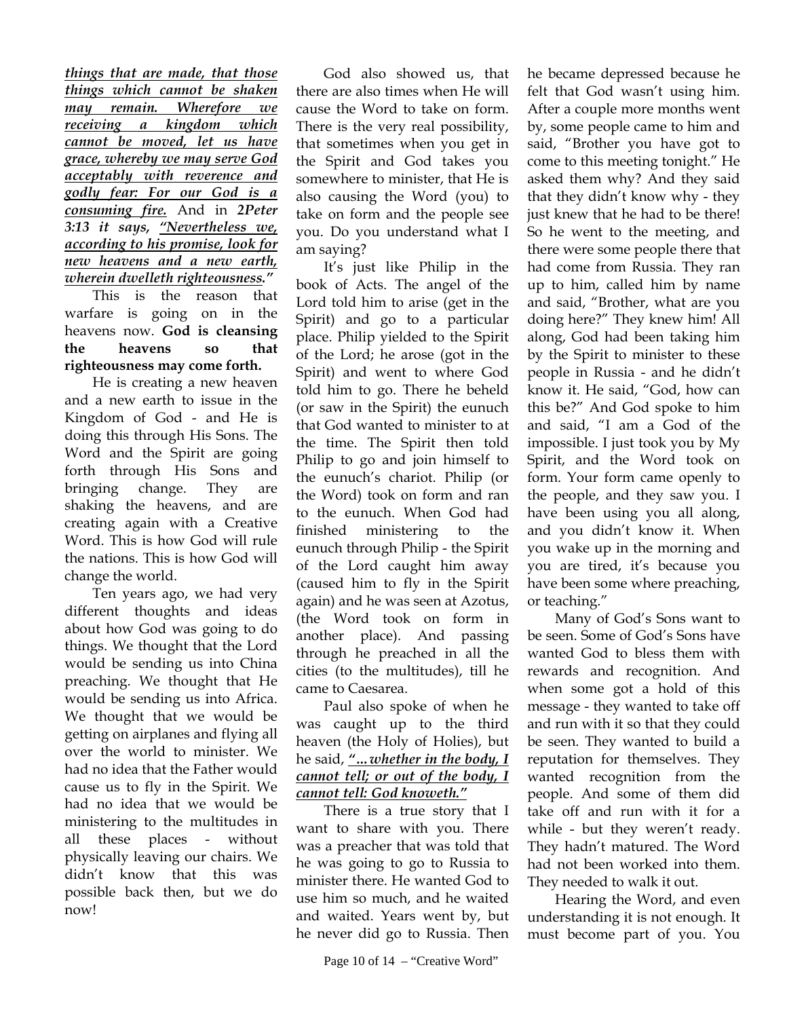*things that are made, that those things which cannot be shaken may remain. Wherefore we receiving a kingdom which cannot be moved, let us have grace, whereby we may serve God acceptably with reverence and godly fear: For our God is a consuming fire.* And in *2Peter 3:13 it says, "Nevertheless we, according to his promise, look for new heavens and a new earth, wherein dwelleth righteousness."*

This is the reason that warfare is going on in the heavens now. **God is cleansing the heavens so that righteousness may come forth.** 

He is creating a new heaven and a new earth to issue in the Kingdom of God - and He is doing this through His Sons. The Word and the Spirit are going forth through His Sons and bringing change. They are shaking the heavens, and are creating again with a Creative Word. This is how God will rule the nations. This is how God will change the world.

Ten years ago, we had very different thoughts and ideas about how God was going to do things. We thought that the Lord would be sending us into China preaching. We thought that He would be sending us into Africa. We thought that we would be getting on airplanes and flying all over the world to minister. We had no idea that the Father would cause us to fly in the Spirit. We had no idea that we would be ministering to the multitudes in all these places - without physically leaving our chairs. We didn't know that this was possible back then, but we do now!

God also showed us, that there are also times when He will cause the Word to take on form. There is the very real possibility, that sometimes when you get in the Spirit and God takes you somewhere to minister, that He is also causing the Word (you) to take on form and the people see you. Do you understand what I am saying?

It's just like Philip in the book of Acts. The angel of the Lord told him to arise (get in the Spirit) and go to a particular place. Philip yielded to the Spirit of the Lord; he arose (got in the Spirit) and went to where God told him to go. There he beheld (or saw in the Spirit) the eunuch that God wanted to minister to at the time. The Spirit then told Philip to go and join himself to the eunuch's chariot. Philip (or the Word) took on form and ran to the eunuch. When God had finished ministering to the eunuch through Philip - the Spirit of the Lord caught him away (caused him to fly in the Spirit again) and he was seen at Azotus, (the Word took on form in another place). And passing through he preached in all the cities (to the multitudes), till he came to Caesarea.

Paul also spoke of when he was caught up to the third heaven (the Holy of Holies), but he said, *"…whether in the body, I cannot tell; or out of the body, I cannot tell: God knoweth."*

There is a true story that I want to share with you. There was a preacher that was told that he was going to go to Russia to minister there. He wanted God to use him so much, and he waited and waited. Years went by, but he never did go to Russia. Then

he became depressed because he felt that God wasn't using him. After a couple more months went by, some people came to him and said, "Brother you have got to come to this meeting tonight." He asked them why? And they said that they didn't know why - they just knew that he had to be there! So he went to the meeting, and there were some people there that had come from Russia. They ran up to him, called him by name and said, "Brother, what are you doing here?" They knew him! All along, God had been taking him by the Spirit to minister to these people in Russia - and he didn't know it. He said, "God, how can this be?" And God spoke to him and said, "I am a God of the impossible. I just took you by My Spirit, and the Word took on form. Your form came openly to the people, and they saw you. I have been using you all along, and you didn't know it. When you wake up in the morning and you are tired, it's because you have been some where preaching, or teaching."

Many of God's Sons want to be seen. Some of God's Sons have wanted God to bless them with rewards and recognition. And when some got a hold of this message - they wanted to take off and run with it so that they could be seen. They wanted to build a reputation for themselves. They wanted recognition from the people. And some of them did take off and run with it for a while - but they weren't ready. They hadn't matured. The Word had not been worked into them. They needed to walk it out.

Hearing the Word, and even understanding it is not enough. It must become part of you. You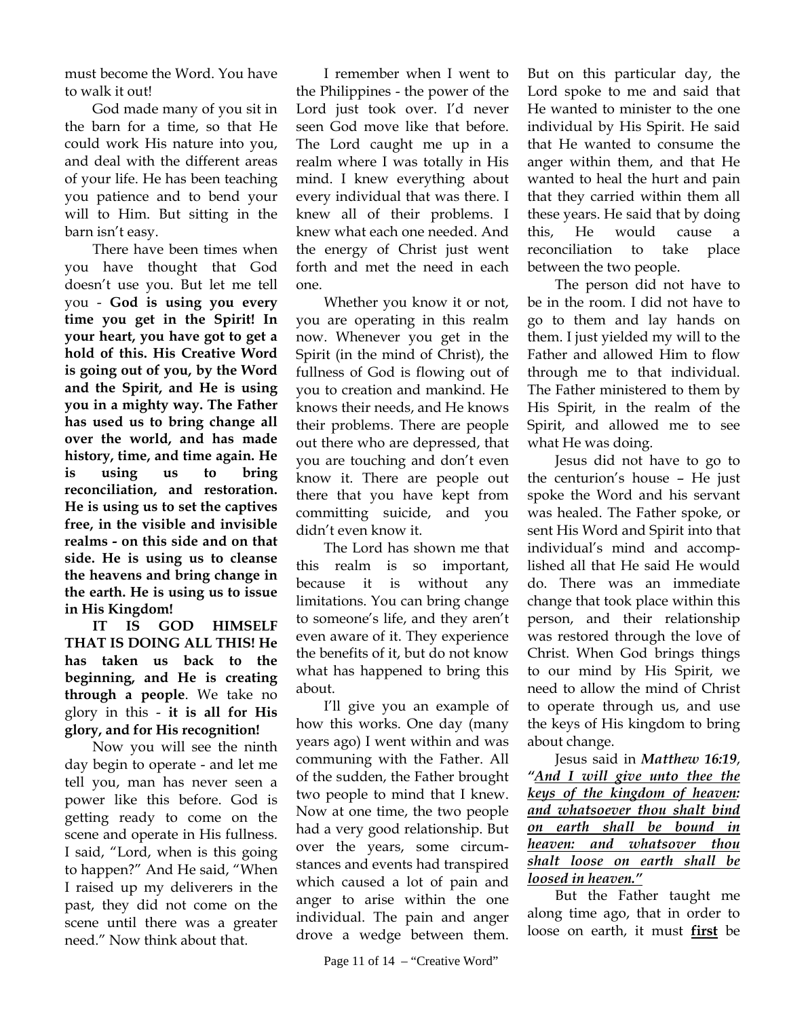must become the Word. You have to walk it out!

God made many of you sit in the barn for a time, so that He could work His nature into you, and deal with the different areas of your life. He has been teaching you patience and to bend your will to Him. But sitting in the barn isn't easy.

There have been times when you have thought that God doesn't use you. But let me tell you - **God is using you every time you get in the Spirit! In your heart, you have got to get a hold of this. His Creative Word is going out of you, by the Word and the Spirit, and He is using you in a mighty way. The Father has used us to bring change all over the world, and has made history, time, and time again. He is using us to bring reconciliation, and restoration. He is using us to set the captives free, in the visible and invisible realms - on this side and on that side. He is using us to cleanse the heavens and bring change in the earth. He is using us to issue in His Kingdom!** 

**IT IS GOD HIMSELF THAT IS DOING ALL THIS! He has taken us back to the beginning, and He is creating through a people**. We take no glory in this - **it is all for His glory, and for His recognition!**

Now you will see the ninth day begin to operate - and let me tell you, man has never seen a power like this before. God is getting ready to come on the scene and operate in His fullness. I said, "Lord, when is this going to happen?" And He said, "When I raised up my deliverers in the past, they did not come on the scene until there was a greater need." Now think about that.

I remember when I went to the Philippines - the power of the Lord just took over. I'd never seen God move like that before. The Lord caught me up in a realm where I was totally in His mind. I knew everything about every individual that was there. I knew all of their problems. I knew what each one needed. And the energy of Christ just went forth and met the need in each one.

Whether you know it or not, you are operating in this realm now. Whenever you get in the Spirit (in the mind of Christ), the fullness of God is flowing out of you to creation and mankind. He knows their needs, and He knows their problems. There are people out there who are depressed, that you are touching and don't even know it. There are people out there that you have kept from committing suicide, and you didn't even know it.

The Lord has shown me that this realm is so important, because it is without any limitations. You can bring change to someone's life, and they aren't even aware of it. They experience the benefits of it, but do not know what has happened to bring this about.

I'll give you an example of how this works. One day (many years ago) I went within and was communing with the Father. All of the sudden, the Father brought two people to mind that I knew. Now at one time, the two people had a very good relationship. But over the years, some circumstances and events had transpired which caused a lot of pain and anger to arise within the one individual. The pain and anger drove a wedge between them.

But on this particular day, the Lord spoke to me and said that He wanted to minister to the one individual by His Spirit. He said that He wanted to consume the anger within them, and that He wanted to heal the hurt and pain that they carried within them all these years. He said that by doing this, He would cause a reconciliation to take place between the two people.

The person did not have to be in the room. I did not have to go to them and lay hands on them. I just yielded my will to the Father and allowed Him to flow through me to that individual. The Father ministered to them by His Spirit, in the realm of the Spirit, and allowed me to see what He was doing.

Jesus did not have to go to the centurion's house – He just spoke the Word and his servant was healed. The Father spoke, or sent His Word and Spirit into that individual's mind and accomplished all that He said He would do. There was an immediate change that took place within this person, and their relationship was restored through the love of Christ. When God brings things to our mind by His Spirit, we need to allow the mind of Christ to operate through us, and use the keys of His kingdom to bring about change.

Jesus said in *Matthew 16:19*, *"And I will give unto thee the keys of the kingdom of heaven: and whatsoever thou shalt bind on earth shall be bound in heaven: and whatsover thou shalt loose on earth shall be loosed in heaven."*

But the Father taught me along time ago, that in order to loose on earth, it must **first** be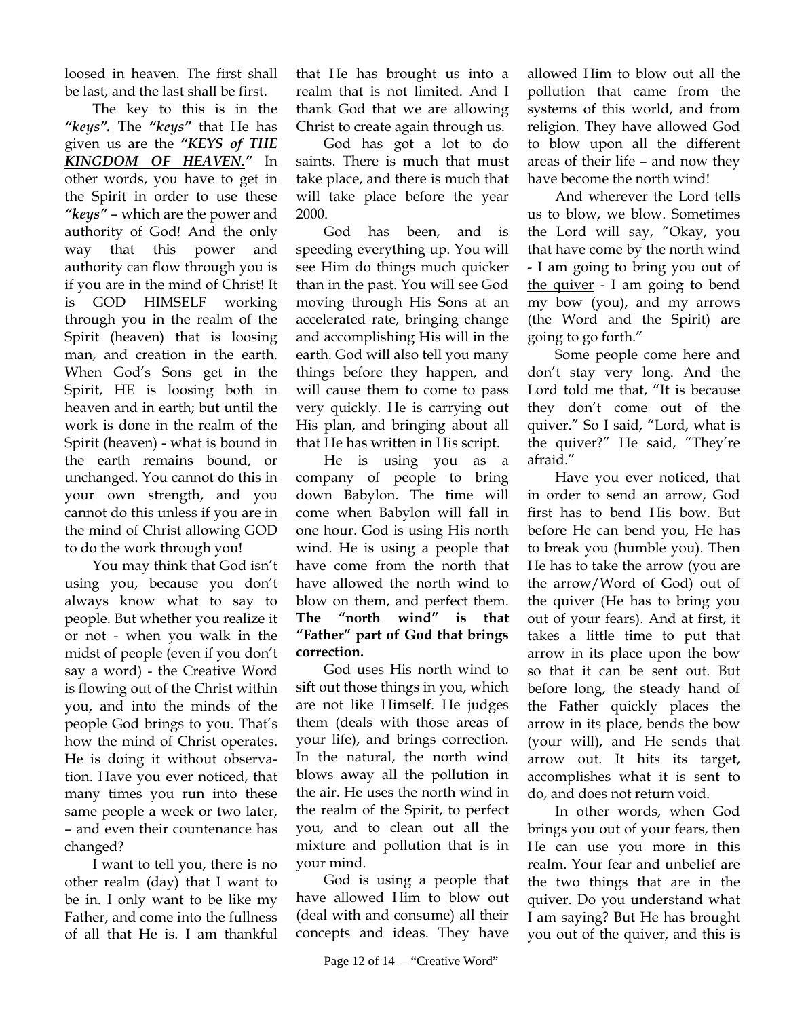loosed in heaven. The first shall be last, and the last shall be first.

The key to this is in the *"keys".* The *"keys"* that He has given us are the *"KEYS of THE KINGDOM OF HEAVEN."* In other words, you have to get in the Spirit in order to use these *"keys"* – which are the power and authority of God! And the only way that this power and authority can flow through you is if you are in the mind of Christ! It is GOD HIMSELF working through you in the realm of the Spirit (heaven) that is loosing man, and creation in the earth. When God's Sons get in the Spirit, HE is loosing both in heaven and in earth; but until the work is done in the realm of the Spirit (heaven) - what is bound in the earth remains bound, or unchanged. You cannot do this in your own strength, and you cannot do this unless if you are in the mind of Christ allowing GOD to do the work through you!

You may think that God isn't using you, because you don't always know what to say to people. But whether you realize it or not - when you walk in the midst of people (even if you don't say a word) - the Creative Word is flowing out of the Christ within you, and into the minds of the people God brings to you. That's how the mind of Christ operates. He is doing it without observation. Have you ever noticed, that many times you run into these same people a week or two later, – and even their countenance has changed?

I want to tell you, there is no other realm (day) that I want to be in. I only want to be like my Father, and come into the fullness of all that He is. I am thankful that He has brought us into a realm that is not limited. And I thank God that we are allowing Christ to create again through us.

God has got a lot to do saints. There is much that must take place, and there is much that will take place before the year 2000.

God has been, and is speeding everything up. You will see Him do things much quicker than in the past. You will see God moving through His Sons at an accelerated rate, bringing change and accomplishing His will in the earth. God will also tell you many things before they happen, and will cause them to come to pass very quickly. He is carrying out His plan, and bringing about all that He has written in His script.

He is using you as a company of people to bring down Babylon. The time will come when Babylon will fall in one hour. God is using His north wind. He is using a people that have come from the north that have allowed the north wind to blow on them, and perfect them. **The "north wind" is that "Father" part of God that brings correction.**

God uses His north wind to sift out those things in you, which are not like Himself. He judges them (deals with those areas of your life), and brings correction. In the natural, the north wind blows away all the pollution in the air. He uses the north wind in the realm of the Spirit, to perfect you, and to clean out all the mixture and pollution that is in your mind.

God is using a people that have allowed Him to blow out (deal with and consume) all their concepts and ideas. They have

allowed Him to blow out all the pollution that came from the systems of this world, and from religion. They have allowed God to blow upon all the different areas of their life – and now they have become the north wind!

And wherever the Lord tells us to blow, we blow. Sometimes the Lord will say, "Okay, you that have come by the north wind - I am going to bring you out of the quiver - I am going to bend my bow (you), and my arrows (the Word and the Spirit) are going to go forth."

Some people come here and don't stay very long. And the Lord told me that, "It is because they don't come out of the quiver." So I said, "Lord, what is the quiver?" He said, "They're afraid."

Have you ever noticed, that in order to send an arrow, God first has to bend His bow. But before He can bend you, He has to break you (humble you). Then He has to take the arrow (you are the arrow/Word of God) out of the quiver (He has to bring you out of your fears). And at first, it takes a little time to put that arrow in its place upon the bow so that it can be sent out. But before long, the steady hand of the Father quickly places the arrow in its place, bends the bow (your will), and He sends that arrow out. It hits its target, accomplishes what it is sent to do, and does not return void.

In other words, when God brings you out of your fears, then He can use you more in this realm. Your fear and unbelief are the two things that are in the quiver. Do you understand what I am saying? But He has brought you out of the quiver, and this is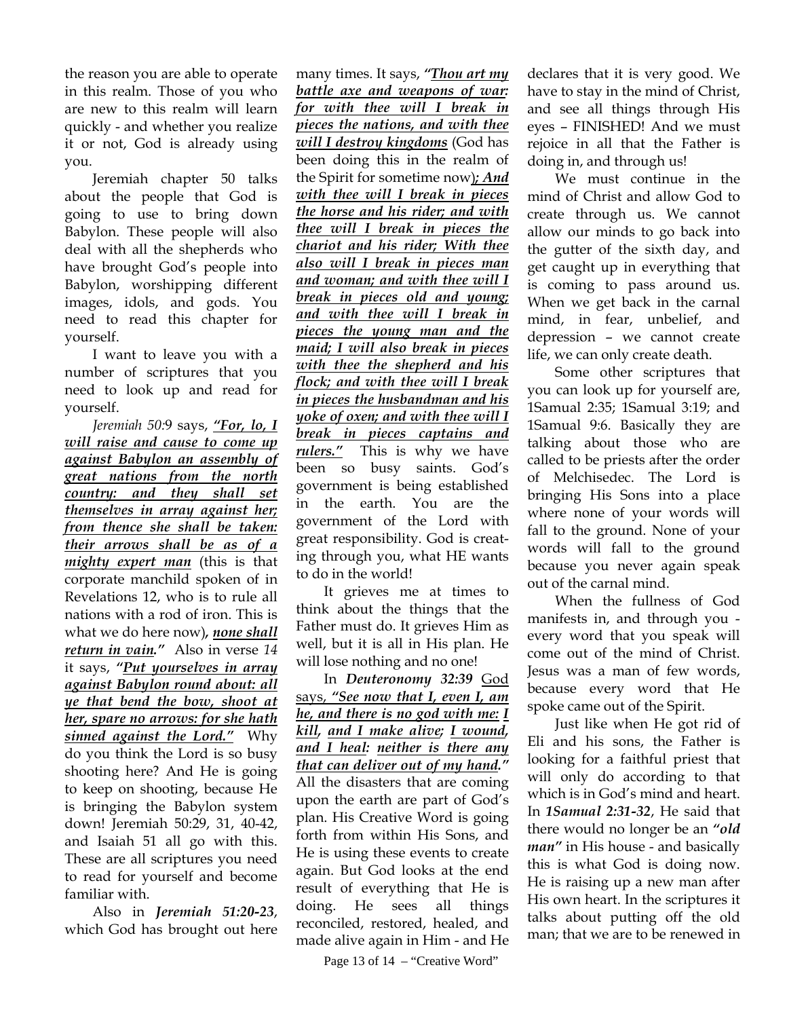the reason you are able to operate in this realm. Those of you who are new to this realm will learn quickly - and whether you realize it or not, God is already using you.

Jeremiah chapter 50 talks about the people that God is going to use to bring down Babylon. These people will also deal with all the shepherds who have brought God's people into Babylon, worshipping different images, idols, and gods. You need to read this chapter for yourself.

I want to leave you with a number of scriptures that you need to look up and read for yourself.

*Jeremiah 50:*9 says, *"For, lo, I will raise and cause to come up against Babylon an assembly of great nations from the north country: and they shall set themselves in array against her; from thence she shall be taken: their arrows shall be as of a mighty expert man* (this is that corporate manchild spoken of in Revelations 12, who is to rule all nations with a rod of iron. This is what we do here now)*, none shall return in vain."* Also in verse *14* it says, *"Put yourselves in array against Babylon round about: all ye that bend the bow, shoot at her, spare no arrows: for she hath sinned against the Lord."* Why do you think the Lord is so busy shooting here? And He is going to keep on shooting, because He is bringing the Babylon system down! Jeremiah 50:29, 31, 40-42, and Isaiah 51 all go with this. These are all scriptures you need to read for yourself and become familiar with.

Also in *Jeremiah 51:20-23*, which God has brought out here

many times. It says, *"Thou art my battle axe and weapons of war: for with thee will I break in pieces the nations, and with thee will I destroy kingdoms* (God has been doing this in the realm of the Spirit for sometime now)*; And with thee will I break in pieces the horse and his rider; and with thee will I break in pieces the chariot and his rider; With thee also will I break in pieces man and woman; and with thee will I break in pieces old and young; and with thee will I break in pieces the young man and the maid; I will also break in pieces with thee the shepherd and his flock; and with thee will I break in pieces the husbandman and his yoke of oxen; and with thee will I break in pieces captains and rulers."* This is why we have been so busy saints. God's government is being established in the earth. You are the government of the Lord with great responsibility. God is creating through you, what HE wants to do in the world!

It grieves me at times to think about the things that the Father must do. It grieves Him as well, but it is all in His plan. He will lose nothing and no one!

## In *Deuteronomy 32:39* God says, *"See now that I, even I, am he, and there is no god with me: I kill, and I make alive; I wound, and I heal: neither is there any that can deliver out of my hand."*

All the disasters that are coming upon the earth are part of God's plan. His Creative Word is going forth from within His Sons, and He is using these events to create again. But God looks at the end result of everything that He is doing. He sees all things reconciled, restored, healed, and made alive again in Him - and He

Page 13 of 14 – "Creative Word"

declares that it is very good. We have to stay in the mind of Christ, and see all things through His eyes – FINISHED! And we must rejoice in all that the Father is doing in, and through us!

We must continue in the mind of Christ and allow God to create through us. We cannot allow our minds to go back into the gutter of the sixth day, and get caught up in everything that is coming to pass around us. When we get back in the carnal mind, in fear, unbelief, and depression – we cannot create life, we can only create death.

Some other scriptures that you can look up for yourself are, 1Samual 2:35; 1Samual 3:19; and 1Samual 9:6. Basically they are talking about those who are called to be priests after the order of Melchisedec. The Lord is bringing His Sons into a place where none of your words will fall to the ground. None of your words will fall to the ground because you never again speak out of the carnal mind.

When the fullness of God manifests in, and through you every word that you speak will come out of the mind of Christ. Jesus was a man of few words, because every word that He spoke came out of the Spirit.

Just like when He got rid of Eli and his sons, the Father is looking for a faithful priest that will only do according to that which is in God's mind and heart. In *1Samual 2:31-32*, He said that there would no longer be an *"old man"* in His house - and basically this is what God is doing now. He is raising up a new man after His own heart. In the scriptures it talks about putting off the old man; that we are to be renewed in